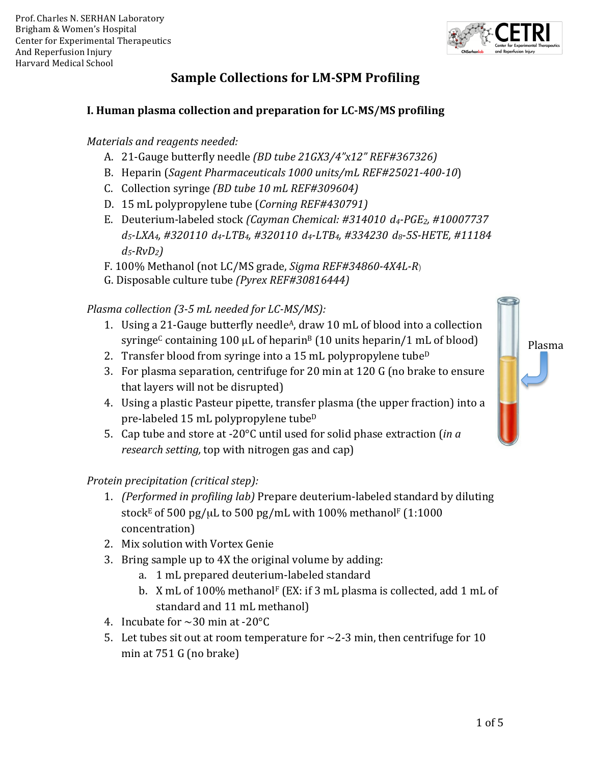

# **Sample Collections for LM-SPM Profiling**

## **I. Human plasma collection and preparation for LC-MS/MS profiling**

#### *Materials and reagents needed:*

- A. 21-Gauge butterfly needle *(BD tube 21GX3/4"x12" REF#367326)*
- B. Heparin (*Sagent Pharmaceuticals* 1000 units/mL REF#25021-400-10)
- C. Collection syringe *(BD tube 10 mL REF#309604)*
- D. 15 mL polypropylene tube (*Corning REF#430791)*
- E. Deuterium-labeled stock *(Cayman Chemical: #314010 d4-PGE2, #10007737 d5-LXA4, #320110 d4-LTB4, #320110 d4-LTB4, #334230 d8-5S-HETE, #11184 d5-RvD2)*
- F. 100% Methanol (not LC/MS grade, *Sigma REF#34860-4X4L-R*)
- G. Disposable culture tube (Pyrex REF#30816444)

#### *Plasma collection* (3-5 mL needed for LC-MS/MS):

- 1. Using a 21-Gauge butterfly needle<sup>A</sup>, draw 10 mL of blood into a collection syringe<sup>C</sup> containing 100 µL of heparin<sup>B</sup> (10 units heparin/1 mL of blood)
- 2. Transfer blood from syringe into a 15 mL polypropylene tube<sup>D</sup>
- 3. For plasma separation, centrifuge for 20 min at 120 G (no brake to ensure that layers will not be disrupted)
- 4. Using a plastic Pasteur pipette, transfer plasma (the upper fraction) into a pre-labeled 15 mL polypropylene tube<sup>D</sup>
- 5. Cap tube and store at -20°C until used for solid phase extraction (*in a research setting,* top with nitrogen gas and cap)

#### *Protein precipitation (critical step):*

- 1. *(Performed in profiling lab)* Prepare deuterium-labeled standard by diluting stock<sup>E</sup> of 500 pg/ $\mu$ L to 500 pg/mL with 100% methanol<sup>F</sup> (1:1000 concentration)
- 2. Mix solution with Vortex Genie
- 3. Bring sample up to 4X the original volume by adding:
	- a. 1 mL prepared deuterium-labeled standard
	- b. X mL of 100% methanol<sup>F</sup> (EX: if 3 mL plasma is collected, add 1 mL of standard and 11 mL methanol)
- 4. Incubate for  $\sim$  30 min at -20 $^{\circ}$ C
- 5. Let tubes sit out at room temperature for  $\sim$ 2-3 min, then centrifuge for 10 min at  $751$  G (no brake)

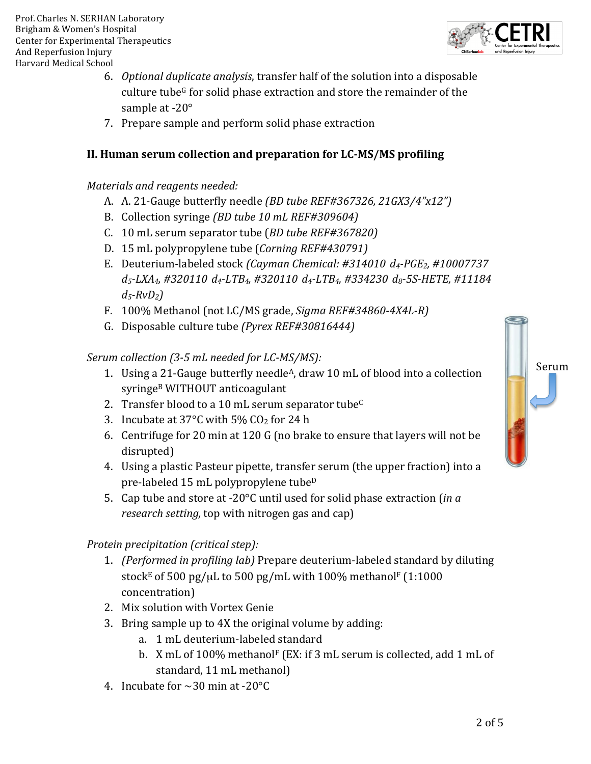- 6. *Optional duplicate analysis*, transfer half of the solution into a disposable culture tube<sup>G</sup> for solid phase extraction and store the remainder of the sample at  $-20^\circ$
- 7. Prepare sample and perform solid phase extraction

### **II. Human serum collection and preparation for LC-MS/MS profiling**

#### *Materials and reagents needed:*

- A. A. 21-Gauge butterfly needle *(BD tube REF#367326, 21GX3/4"x12")*
- B. Collection syringe *(BD tube 10 mL REF#309604)*
- C. 10 mL serum separator tube (*BD tube REF#367820)*
- D. 15 mL polypropylene tube (*Corning REF#430791)*
- E. Deuterium-labeled stock *(Cayman Chemical: #314010 d4-PGE2, #10007737 d5-LXA4, #320110 d4-LTB4, #320110 d4-LTB4, #334230 d8-5S-HETE, #11184 d5-RvD2)*
- F. 100% Methanol (not LC/MS grade, *Sigma REF#34860-4X4L-R)*
- G. Disposable culture tube (Pyrex REF#30816444)

#### *Serum collection (3-5 mL needed for LC-MS/MS):*

- 1. Using a 21-Gauge butterfly needle<sup>A</sup>, draw 10 mL of blood into a collection syringe<sup>B</sup> WITHOUT anticoagulant
- 2. Transfer blood to a 10 mL serum separator tube<sup>C</sup>
- 3. Incubate at  $37^{\circ}$ C with  $5\%$  CO<sub>2</sub> for 24 h
- 6. Centrifuge for 20 min at 120 G (no brake to ensure that layers will not be disrupted)
- 4. Using a plastic Pasteur pipette, transfer serum (the upper fraction) into a pre-labeled  $15$  mL polypropylene tube<sup>D</sup>
- 5. Cap tube and store at -20°C until used for solid phase extraction (*in a research setting,* top with nitrogen gas and cap)

#### *Protein precipitation (critical step):*

- 1. *(Performed in profiling lab)* Prepare deuterium-labeled standard by diluting stock<sup>E</sup> of 500 pg/ $\mu$ L to 500 pg/mL with 100% methanol<sup>F</sup> (1:1000 concentration)
- 2. Mix solution with Vortex Genie
- 3. Bring sample up to 4X the original volume by adding:
	- a. 1 mL deuterium-labeled standard
	- b. X mL of  $100\%$  methanol<sup>F</sup> (EX: if 3 mL serum is collected, add 1 mL of standard, 11 mL methanol)
- 4. Incubate for  $\sim$  30 min at -20 $^{\circ}$ C





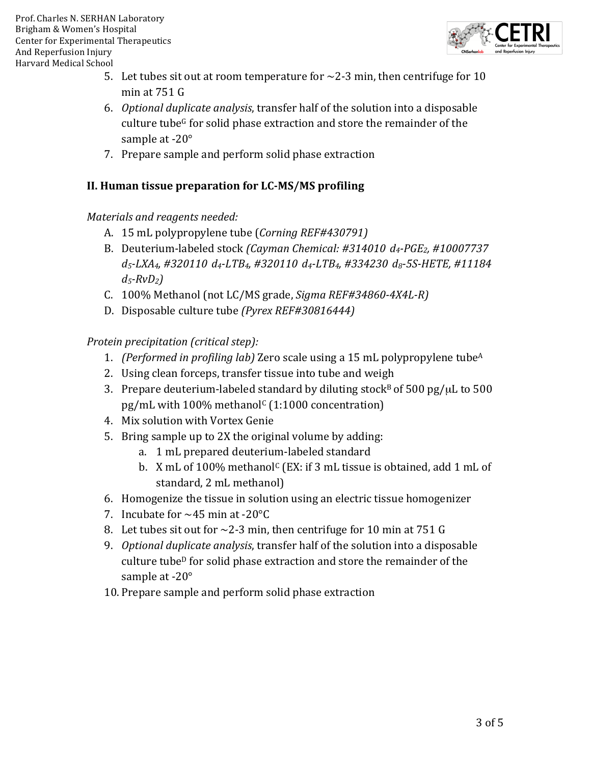

- 5. Let tubes sit out at room temperature for  $\sim$ 2-3 min, then centrifuge for 10 min at  $751<sub>G</sub>$
- 6. *Optional duplicate analysis*, transfer half of the solution into a disposable culture tube<sup>G</sup> for solid phase extraction and store the remainder of the sample at  $-20^\circ$
- 7. Prepare sample and perform solid phase extraction

# **II. Human tissue preparation for LC-MS/MS profiling**

#### *Materials and reagents needed:*

- A. 15 mL polypropylene tube (*Corning REF#430791)*
- B. Deuterium-labeled stock *(Cayman Chemical: #314010 d<sub>4</sub>-PGE<sub>2</sub>, #10007737 d5-LXA4, #320110 d4-LTB4, #320110 d4-LTB4, #334230 d8-5S-HETE, #11184 d5-RvD2)*
- C. 100% Methanol (not LC/MS grade, *Sigma REF#34860-4X4L-R)*
- D. Disposable culture tube (Pyrex REF#30816444)

*Protein precipitation (critical step):*

- 1. *(Performed in profiling lab)* Zero scale using a 15 mL polypropylene tube<sup>A</sup>
- 2. Using clean forceps, transfer tissue into tube and weigh
- 3. Prepare deuterium-labeled standard by diluting stock<sup>B</sup> of 500 pg/ $\mu$ L to 500 pg/mL with  $100\%$  methanol<sup>c</sup> (1:1000 concentration)
- 4. Mix solution with Vortex Genie
- 5. Bring sample up to 2X the original volume by adding:
	- a. 1 mL prepared deuterium-labeled standard
	- b. X mL of  $100\%$  methanol<sup>c</sup> (EX: if 3 mL tissue is obtained, add 1 mL of standard, 2 mL methanol)
- 6. Homogenize the tissue in solution using an electric tissue homogenizer
- 7. Incubate for  $\sim$  45 min at -20 $\degree$ C
- 8. Let tubes sit out for  $\sim$ 2-3 min, then centrifuge for 10 min at 751 G
- 9. Optional duplicate analysis, transfer half of the solution into a disposable culture tube<sup>D</sup> for solid phase extraction and store the remainder of the sample at  $-20^\circ$
- 10. Prepare sample and perform solid phase extraction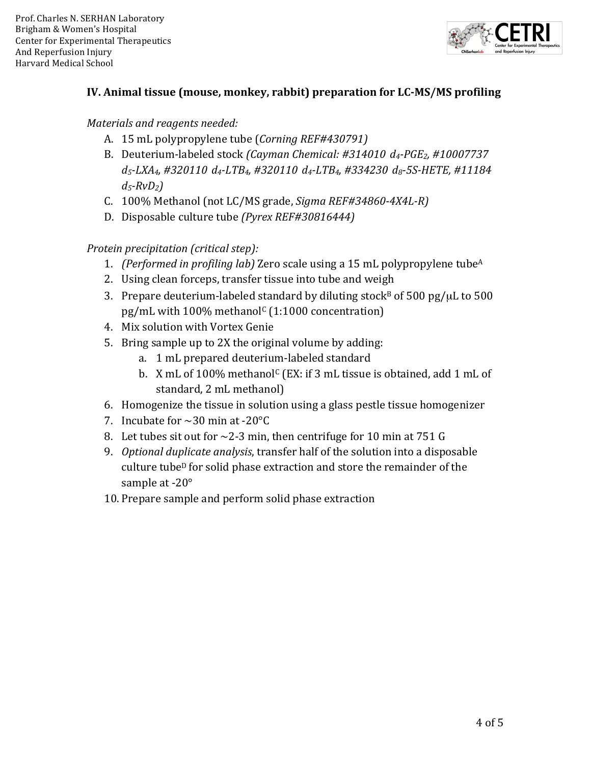

### **IV. Animal tissue (mouse, monkey, rabbit) preparation for LC-MS/MS profiling**

#### *Materials and reagents needed:*

- A. 15 mL polypropylene tube (*Corning REF#430791)*
- B. Deuterium-labeled stock *(Cayman Chemical: #314010 d4-PGE2, #10007737 d5-LXA4, #320110 d4-LTB4, #320110 d4-LTB4, #334230 d8-5S-HETE, #11184 d5-RvD2)*
- C. 100% Methanol (not LC/MS grade, *Sigma REF#34860-4X4L-R)*
- D. Disposable culture tube (Pyrex REF#30816444)

#### *Protein precipitation (critical step):*

- 1. *(Performed in profiling lab)* Zero scale using a 15 mL polypropylene tube<sup>A</sup>
- 2. Using clean forceps, transfer tissue into tube and weigh
- 3. Prepare deuterium-labeled standard by diluting stock<sup>B</sup> of 500 pg/ $\mu$ L to 500 pg/mL with  $100\%$  methanol<sup>c</sup> (1:1000 concentration)
- 4. Mix solution with Vortex Genie
- 5. Bring sample up to 2X the original volume by adding:
	- a. 1 mL prepared deuterium-labeled standard
	- b. X mL of  $100\%$  methanol<sup>c</sup> (EX: if 3 mL tissue is obtained, add 1 mL of standard, 2 mL methanol)
- 6. Homogenize the tissue in solution using a glass pestle tissue homogenizer
- 7. Incubate for  $\sim$  30 min at -20 $^{\circ}$ C
- 8. Let tubes sit out for  $\sim$ 2-3 min, then centrifuge for 10 min at 751 G
- 9. *Optional duplicate analysis*, transfer half of the solution into a disposable culture tube<sup>D</sup> for solid phase extraction and store the remainder of the sample at  $-20^\circ$
- 10. Prepare sample and perform solid phase extraction